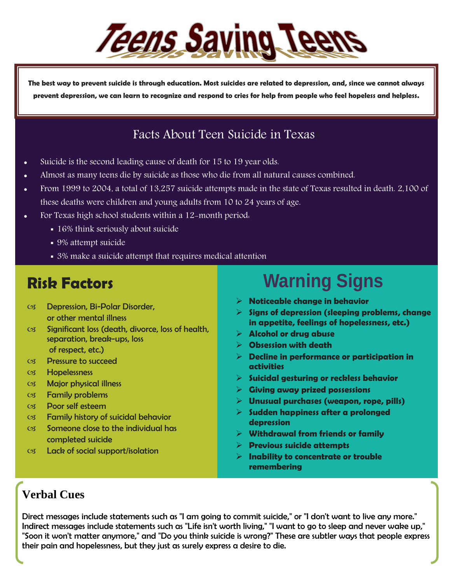

**The best way to prevent suicide is through education. Most suicides are related to depression, and, since we cannot always prevent depression, we can learn to recognize and respond to cries for help from people who feel hopeless and helpless.**

### Facts About Teen Suicide in Texas

- Suicide is the second leading cause of death for 15 to 19 year olds.
- Almost as many teens die by suicide as those who die from all natural causes combined.
- From 1999 to 2004, a total of 13,257 suicide attempts made in the state of Texas resulted in death. 2,100 of these deaths were children and young adults from 10 to 24 years of age.
- For Texas high school students within a 12-month period.
	- 16% think seriously about suicide
	- 9% attempt suicide
	- 3% make a suicide attempt that requires medical attention

## **Risk Factors**

- Depression, Bi-Polar Disorder, or other mental illness
- $\&$  Significant loss (death, divorce, loss of health, separation, break-ups, loss of respect, etc.)
- Pressure to succeed
- Hopelessness
- Major physical illness
- Family problems
- Poor self esteem
- Family history of suicidal behavior
- $C3$  Someone close to the individual has completed suicide
- Lack of social support/isolation

# **Warning Signs**

- **Noticeable change in behavior**
- **Signs of depression (sleeping problems, change in appetite, feelings of hopelessness, etc.)**
- **Alcohol or drug abuse**
- **Obsession with death**
- **Decline in performance or participation in activities**
- **Suicidal gesturing or reckless behavior**
- **Giving away prized possessions**
- **Unusual purchases (weapon, rope, pills)**
- **Sudden happiness after a prolonged depression**
- **Withdrawal from friends or family**
- **Previous suicide attempts**
- **Inability to concentrate or trouble remembering**

### **Verbal Cues**

Direct messages include statements such as "I am going to commit suicide," or "I don't want to live any more." Indirect messages include statements such as "Life isn't worth living," "I want to go to sleep and never wake up," "Soon it won't matter anymore," and "Do you think suicide is wrong?" These are subtler ways that people express their pain and hopelessness, but they just as surely express a desire to die.